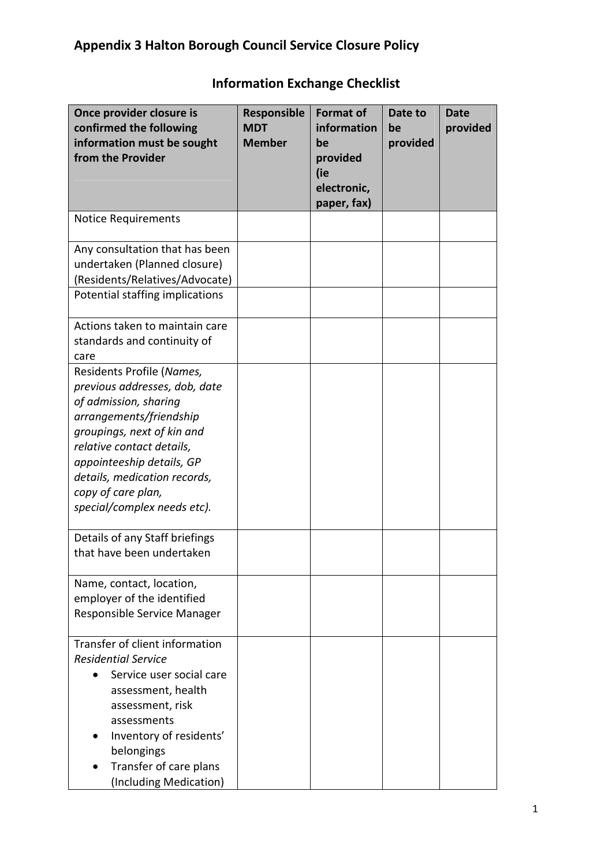| Once provider closure is<br>confirmed the following<br>information must be sought<br>from the Provider                                                                                                                                                                                      | Responsible<br><b>MDT</b><br><b>Member</b> | <b>Format of</b><br>information<br>be<br>provided<br>(ie<br>electronic,<br>paper, fax) | Date to<br>be<br>provided | <b>Date</b><br>provided |
|---------------------------------------------------------------------------------------------------------------------------------------------------------------------------------------------------------------------------------------------------------------------------------------------|--------------------------------------------|----------------------------------------------------------------------------------------|---------------------------|-------------------------|
| <b>Notice Requirements</b>                                                                                                                                                                                                                                                                  |                                            |                                                                                        |                           |                         |
| Any consultation that has been<br>undertaken (Planned closure)<br>(Residents/Relatives/Advocate)<br>Potential staffing implications                                                                                                                                                         |                                            |                                                                                        |                           |                         |
| Actions taken to maintain care<br>standards and continuity of<br>care                                                                                                                                                                                                                       |                                            |                                                                                        |                           |                         |
| Residents Profile (Names,<br>previous addresses, dob, date<br>of admission, sharing<br>arrangements/friendship<br>groupings, next of kin and<br>relative contact details,<br>appointeeship details, GP<br>details, medication records,<br>copy of care plan,<br>special/complex needs etc). |                                            |                                                                                        |                           |                         |
| Details of any Staff briefings<br>that have been undertaken                                                                                                                                                                                                                                 |                                            |                                                                                        |                           |                         |
| Name, contact, location,<br>employer of the identified<br>Responsible Service Manager                                                                                                                                                                                                       |                                            |                                                                                        |                           |                         |
| Transfer of client information<br><b>Residential Service</b><br>Service user social care<br>assessment, health<br>assessment, risk<br>assessments<br>Inventory of residents'<br>belongings<br>Transfer of care plans<br>(Including Medication)                                              |                                            |                                                                                        |                           |                         |

## Information Exchange Checklist